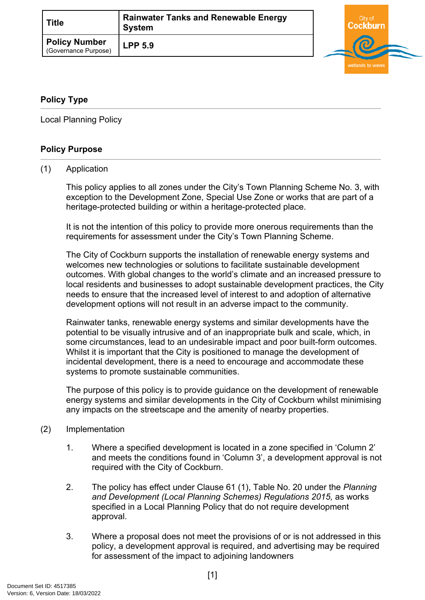| Title                                        | <b>Rainwater Tanks and Renewable Energy</b><br><b>System</b> |
|----------------------------------------------|--------------------------------------------------------------|
| <b>Policy Number</b><br>(Governance Purpose) | <b>LPP 5.9</b>                                               |



## <span id="page-0-0"></span>**[Policy Type](#page-0-0)**

Local Planning Policy

## **Policy Purpose**

#### (1) Application

This policy applies to all zones under the City's Town Planning Scheme No. 3, with exception to the Development Zone, Special Use Zone or works that are part of a heritage-protected building or within a heritage-protected place.

It is not the intention of this policy to provide more onerous requirements than the requirements for assessment under the City's Town Planning Scheme.

The City of Cockburn supports the installation of renewable energy systems and welcomes new technologies or solutions to facilitate sustainable development outcomes. With global changes to the world's climate and an increased pressure to local residents and businesses to adopt sustainable development practices, the City needs to ensure that the increased level of interest to and adoption of alternative development options will not result in an adverse impact to the community.

Rainwater tanks, renewable energy systems and similar developments have the potential to be visually intrusive and of an inappropriate bulk and scale, which, in some circumstances, lead to an undesirable impact and poor built-form outcomes. Whilst it is important that the City is positioned to manage the development of incidental development, there is a need to encourage and accommodate these systems to promote sustainable communities.

The purpose of this policy is to provide guidance on the development of renewable energy systems and similar developments in the City of Cockburn whilst minimising any impacts on the streetscape and the amenity of nearby properties.

#### (2) Implementation

- 1. Where a specified development is located in a zone specified in 'Column 2' and meets the conditions found in 'Column 3', a development approval is not required with the City of Cockburn.
- 2. The policy has effect under Clause 61 (1), Table No. 20 under the *Planning*  and Development (Local Planning Schemes) Regulations 2015, as works specified in a Local Planning Policy that do not require development approval.
- 3. Where a proposal does not meet the provisions of or is not addressed in this policy, a development approval is required, and advertising may be required for assessment of the impact to adjoining landowners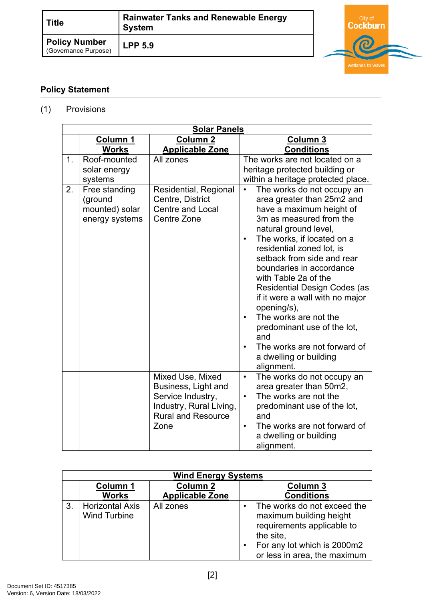| <b>Title</b>                                 | <b>Rainwater Tanks and Renewable Energy</b><br><b>System</b> |  |
|----------------------------------------------|--------------------------------------------------------------|--|
| <b>Policy Number</b><br>(Governance Purpose) | <b>LPP 5.9</b>                                               |  |



## **Policy Statement**

# (1) Provisions

|    |                          | <b>Solar Panels</b>       |                                                                  |
|----|--------------------------|---------------------------|------------------------------------------------------------------|
|    | <b>Column 1</b>          | Column <sub>2</sub>       | <b>Column 3</b>                                                  |
|    | <b>Works</b>             | <b>Applicable Zone</b>    | <b>Conditions</b>                                                |
| 1. | Roof-mounted             | All zones                 | The works are not located on a                                   |
|    | solar energy             |                           | heritage protected building or                                   |
| 2. | systems<br>Free standing | Residential, Regional     | within a heritage protected place.<br>The works do not occupy an |
|    | (ground                  | Centre, District          | area greater than 25m2 and                                       |
|    | mounted) solar           | <b>Centre and Local</b>   | have a maximum height of                                         |
|    | energy systems           | Centre Zone               | 3m as measured from the                                          |
|    |                          |                           | natural ground level,                                            |
|    |                          |                           | The works, if located on a<br>$\bullet$                          |
|    |                          |                           | residential zoned lot, is                                        |
|    |                          |                           | setback from side and rear                                       |
|    |                          |                           | boundaries in accordance                                         |
|    |                          |                           | with Table 2a of the                                             |
|    |                          |                           | <b>Residential Design Codes (as</b>                              |
|    |                          |                           | if it were a wall with no major                                  |
|    |                          |                           | opening/s),                                                      |
|    |                          |                           | The works are not the<br>$\bullet$                               |
|    |                          |                           | predominant use of the lot,                                      |
|    |                          |                           | and                                                              |
|    |                          |                           | The works are not forward of                                     |
|    |                          |                           | a dwelling or building                                           |
|    |                          | Mixed Use, Mixed          | alignment.<br>The works do not occupy an<br>$\bullet$            |
|    |                          | Business, Light and       | area greater than 50m2,                                          |
|    |                          | Service Industry,         | The works are not the<br>$\bullet$                               |
|    |                          | Industry, Rural Living,   | predominant use of the lot,                                      |
|    |                          | <b>Rural and Resource</b> | and                                                              |
|    |                          | Zone                      | The works are not forward of<br>$\bullet$                        |
|    |                          |                           | a dwelling or building                                           |
|    |                          |                           | alignment.                                                       |

|    | <b>Wind Energy Systems</b>                    |                                           |  |                                                                                                                                                                  |
|----|-----------------------------------------------|-------------------------------------------|--|------------------------------------------------------------------------------------------------------------------------------------------------------------------|
|    | <b>Column 1</b><br><b>Works</b>               | <b>Column 2</b><br><b>Applicable Zone</b> |  | Column 3<br><b>Conditions</b>                                                                                                                                    |
| 3. | <b>Horizontal Axis</b><br><b>Wind Turbine</b> | All zones                                 |  | The works do not exceed the<br>maximum building height<br>requirements applicable to<br>the site,<br>For any lot which is 2000m2<br>or less in area, the maximum |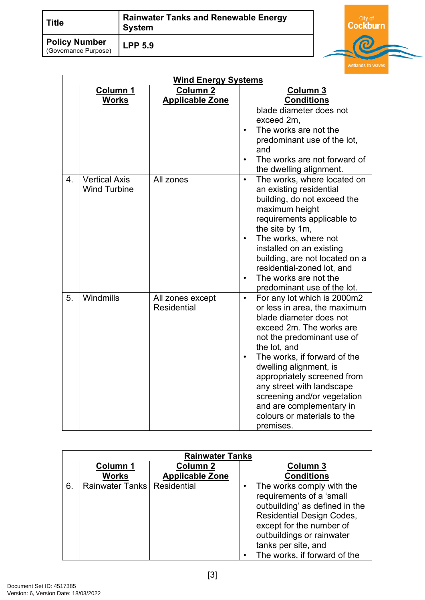| <b>Title</b>                                 | <b>Rainwater Tanks and Renewable Energy</b><br><b>System</b> |  |
|----------------------------------------------|--------------------------------------------------------------|--|
| <b>Policy Number</b><br>(Governance Purpose) | <b>LPP 5.9</b>                                               |  |

City of<br>Cockburn

|    | <b>Wind Energy Systems</b>                  |                                        |                                                                                                                                                                                                                                                                                                                                                                                                                         |  |  |
|----|---------------------------------------------|----------------------------------------|-------------------------------------------------------------------------------------------------------------------------------------------------------------------------------------------------------------------------------------------------------------------------------------------------------------------------------------------------------------------------------------------------------------------------|--|--|
|    | Column 1                                    | Column <sub>2</sub>                    | Column 3                                                                                                                                                                                                                                                                                                                                                                                                                |  |  |
|    | <b>Works</b>                                | <b>Applicable Zone</b>                 | <b>Conditions</b>                                                                                                                                                                                                                                                                                                                                                                                                       |  |  |
|    |                                             |                                        | blade diameter does not<br>exceed 2m.<br>The works are not the<br>$\bullet$<br>predominant use of the lot,<br>and<br>The works are not forward of<br>$\bullet$<br>the dwelling alignment.                                                                                                                                                                                                                               |  |  |
| 4. | <b>Vertical Axis</b><br><b>Wind Turbine</b> | All zones                              | The works, where located on<br>$\bullet$<br>an existing residential<br>building, do not exceed the<br>maximum height<br>requirements applicable to<br>the site by 1m,<br>The works, where not<br>$\bullet$<br>installed on an existing<br>building, are not located on a<br>residential-zoned lot, and<br>The works are not the<br>$\bullet$<br>predominant use of the lot.                                             |  |  |
| 5. | Windmills                                   | All zones except<br><b>Residential</b> | For any lot which is 2000m2<br>$\bullet$<br>or less in area, the maximum<br>blade diameter does not<br>exceed 2m. The works are<br>not the predominant use of<br>the lot, and<br>The works, if forward of the<br>$\bullet$<br>dwelling alignment, is<br>appropriately screened from<br>any street with landscape<br>screening and/or vegetation<br>and are complementary in<br>colours or materials to the<br>premises. |  |  |

|    | <b>Rainwater Tanks</b>        |                        |  |                                                                                                                                                                                                                                             |
|----|-------------------------------|------------------------|--|---------------------------------------------------------------------------------------------------------------------------------------------------------------------------------------------------------------------------------------------|
|    | <b>Column 1</b>               | <b>Column 2</b>        |  | Column 3                                                                                                                                                                                                                                    |
|    | <b>Works</b>                  | <b>Applicable Zone</b> |  | <b>Conditions</b>                                                                                                                                                                                                                           |
| 6. | Rainwater Tanks   Residential |                        |  | The works comply with the<br>requirements of a 'small<br>outbuilding' as defined in the<br><b>Residential Design Codes,</b><br>except for the number of<br>outbuildings or rainwater<br>tanks per site, and<br>The works, if forward of the |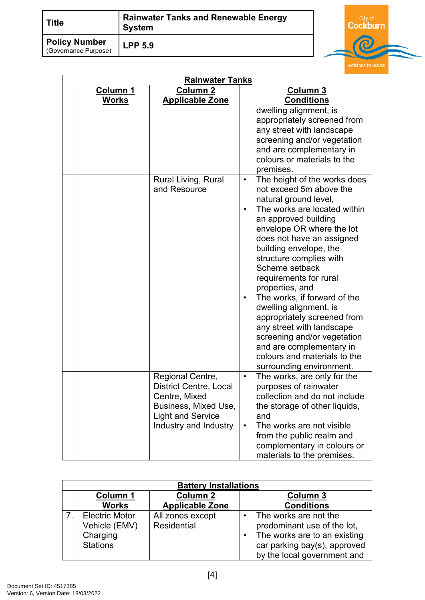| Title                                        | <b>Rainwater Tanks and Renewable Energy</b><br><b>System</b> |  |
|----------------------------------------------|--------------------------------------------------------------|--|
| <b>Policy Number</b><br>(Governance Purpose) | <b>LPP 5.9</b>                                               |  |

City of<br>C<mark>ockburn</mark>

| <b>Rainwater Tanks</b> |                                                                                                                                                 |                                                                                                                                                                                                                                                                                                                                                                                                                                                                                                                                                                                  |  |
|------------------------|-------------------------------------------------------------------------------------------------------------------------------------------------|----------------------------------------------------------------------------------------------------------------------------------------------------------------------------------------------------------------------------------------------------------------------------------------------------------------------------------------------------------------------------------------------------------------------------------------------------------------------------------------------------------------------------------------------------------------------------------|--|
| Column 1               | <b>Column 2</b>                                                                                                                                 | Column 3                                                                                                                                                                                                                                                                                                                                                                                                                                                                                                                                                                         |  |
| <b>Works</b>           | <b>Applicable Zone</b>                                                                                                                          | <b>Conditions</b>                                                                                                                                                                                                                                                                                                                                                                                                                                                                                                                                                                |  |
|                        |                                                                                                                                                 | dwelling alignment, is<br>appropriately screened from<br>any street with landscape<br>screening and/or vegetation<br>and are complementary in<br>colours or materials to the<br>premises.                                                                                                                                                                                                                                                                                                                                                                                        |  |
|                        | Rural Living, Rural<br>and Resource                                                                                                             | The height of the works does<br>$\bullet$<br>not exceed 5m above the<br>natural ground level,<br>The works are located within<br>an approved building<br>envelope OR where the lot<br>does not have an assigned<br>building envelope, the<br>structure complies with<br>Scheme setback<br>requirements for rural<br>properties, and<br>The works, if forward of the<br>dwelling alignment, is<br>appropriately screened from<br>any street with landscape<br>screening and/or vegetation<br>and are complementary in<br>colours and materials to the<br>surrounding environment. |  |
|                        | Regional Centre,<br><b>District Centre, Local</b><br>Centre, Mixed<br>Business, Mixed Use,<br><b>Light and Service</b><br>Industry and Industry | The works, are only for the<br>$\bullet$<br>purposes of rainwater<br>collection and do not include<br>the storage of other liquids,<br>and<br>The works are not visible<br>$\bullet$<br>from the public realm and<br>complementary in colours or<br>materials to the premises.                                                                                                                                                                                                                                                                                                   |  |

| <b>Battery Installations</b>                                          |                                           |                                                                                                                                                     |  |  |
|-----------------------------------------------------------------------|-------------------------------------------|-----------------------------------------------------------------------------------------------------------------------------------------------------|--|--|
| <b>Column 1</b><br><b>Works</b>                                       | <b>Column 2</b><br><b>Applicable Zone</b> | Column 3<br><b>Conditions</b>                                                                                                                       |  |  |
| <b>Electric Motor</b><br>Vehicle (EMV)<br>Charging<br><b>Stations</b> | All zones except<br>Residential           | The works are not the<br>predominant use of the lot,<br>The works are to an existing<br>car parking bay(s), approved<br>by the local government and |  |  |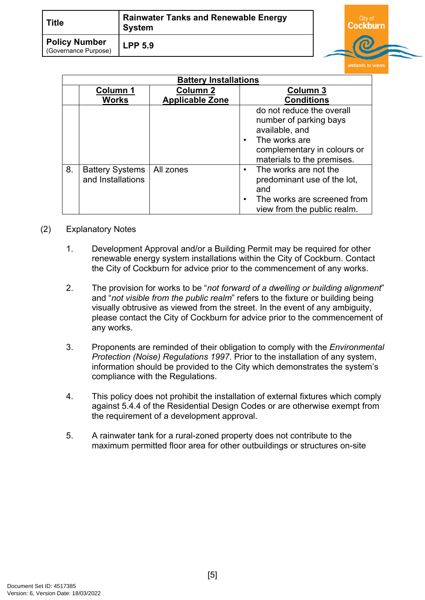| <b>Title</b>                                 | <b>Rainwater Tanks and Renewable Energy</b><br><b>System</b> |  |
|----------------------------------------------|--------------------------------------------------------------|--|
| <b>Policy Number</b><br>(Governance Purpose) | <b>LPP 5.9</b>                                               |  |

**dburn** 

|    | <b>Battery Installations</b>                |                        |                                                                                                                                                                  |  |
|----|---------------------------------------------|------------------------|------------------------------------------------------------------------------------------------------------------------------------------------------------------|--|
|    | <b>Column 1</b>                             | <b>Column 2</b>        | <b>Column 3</b>                                                                                                                                                  |  |
|    | <b>Works</b>                                | <b>Applicable Zone</b> | <b>Conditions</b>                                                                                                                                                |  |
|    |                                             |                        | do not reduce the overall<br>number of parking bays<br>available, and<br>The works are<br>$\bullet$<br>complementary in colours or<br>materials to the premises. |  |
| 8. | <b>Battery Systems</b><br>and Installations | All zones              | The works are not the<br>predominant use of the lot,<br>and<br>The works are screened from<br>view from the public realm.                                        |  |

#### (2) Explanatory Notes

- 1. Development Approval and/or a Building Permit may be required for other renewable energy system installations within the City of Cockburn. Contact the City of Cockburn for advice prior to the commencement of any works.
- 2. The provision for works to be "*not forward of a dwelling or building alignment*" and "*not visible from the public realm*" refers to the fixture or building being visually obtrusive as viewed from the street. In the event of any ambiguity, please contact the City of Cockburn for advice prior to the commencement of any works.
- 3. Proponents are reminded of their obligation to comply with the *Environmental Protection (Noise) Regulations 1997*. Prior to the installation of any system, information should be provided to the City which demonstrates the system's compliance with the Regulations.
- 4. This policy does not prohibit the installation of external fixtures which comply against 5.4.4 of the Residential Design Codes or are otherwise exempt from the requirement of a development approval.
- 5. A rainwater tank for a rural-zoned property does not contribute to the maximum permitted floor area for other outbuildings or structures on-site